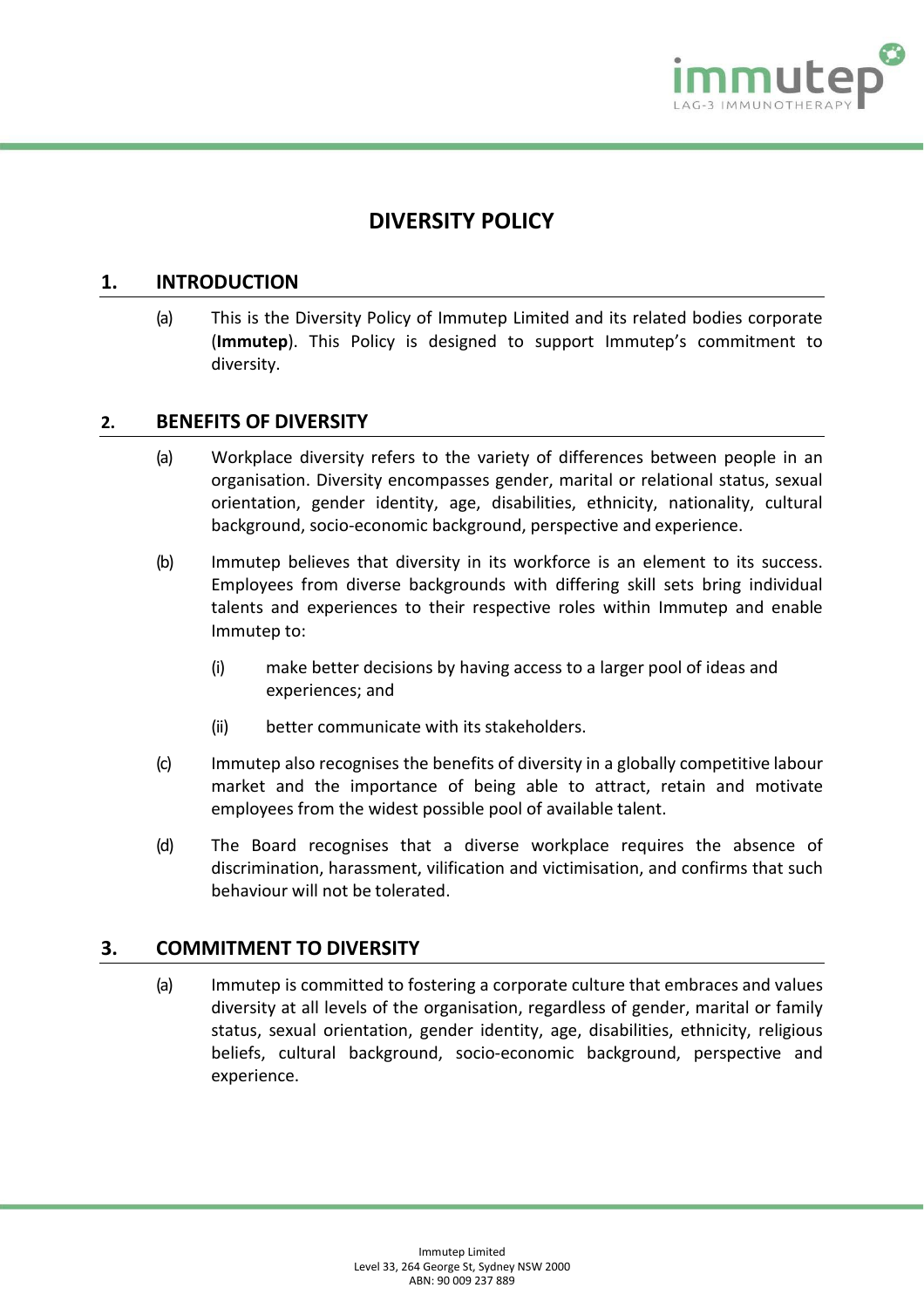

# **DIVERSITY POLICY**

#### **1. INTRODUCTION**

(a) This is the Diversity Policy of Immutep Limited and its related bodies corporate (**Immutep**). This Policy is designed to support Immutep's commitment to diversity.

## **2. BENEFITS OF DIVERSITY**

- (a) Workplace diversity refers to the variety of differences between people in an organisation. Diversity encompasses gender, marital or relational status, sexual orientation, gender identity, age, disabilities, ethnicity, nationality, cultural background, socio-economic background, perspective and experience.
- (b) Immutep believes that diversity in its workforce is an element to its success. Employees from diverse backgrounds with differing skill sets bring individual talents and experiences to their respective roles within Immutep and enable Immutep to:
	- (i) make better decisions by having access to a larger pool of ideas and experiences; and
	- (ii) better communicate with its stakeholders.
- (c) Immutep also recognises the benefits of diversity in a globally competitive labour market and the importance of being able to attract, retain and motivate employees from the widest possible pool of available talent.
- (d) The Board recognises that a diverse workplace requires the absence of discrimination, harassment, vilification and victimisation, and confirms that such behaviour will not be tolerated.

#### **3. COMMITMENT TO DIVERSITY**

(a) Immutep is committed to fostering a corporate culture that embraces and values diversity at all levels of the organisation, regardless of gender, marital or family status, sexual orientation, gender identity, age, disabilities, ethnicity, religious beliefs, cultural background, socio-economic background, perspective and experience.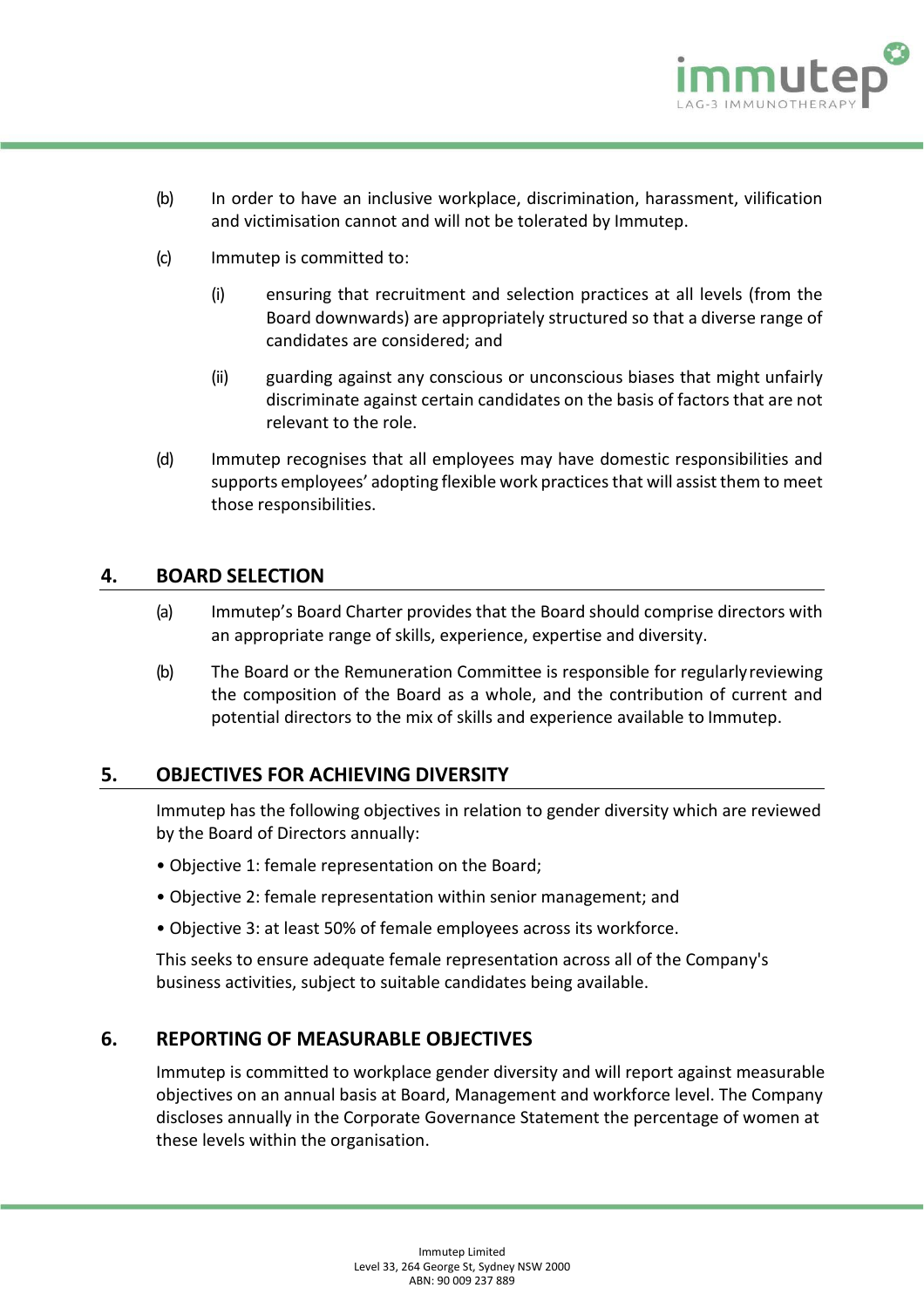

- (b) In order to have an inclusive workplace, discrimination, harassment, vilification and victimisation cannot and will not be tolerated by Immutep.
- (c) Immutep is committed to:
	- (i) ensuring that recruitment and selection practices at all levels (from the Board downwards) are appropriately structured so that a diverse range of candidates are considered; and
	- (ii) guarding against any conscious or unconscious biases that might unfairly discriminate against certain candidates on the basis of factorsthat are not relevant to the role.
- (d) Immutep recognises that all employees may have domestic responsibilities and supports employees' adopting flexible work practices that will assist them to meet those responsibilities.

#### **4. BOARD SELECTION**

- (a) Immutep's Board Charter provides that the Board should comprise directors with an appropriate range of skills, experience, expertise and diversity.
- (b) The Board or the Remuneration Committee is responsible for regularlyreviewing the composition of the Board as a whole, and the contribution of current and potential directors to the mix of skills and experience available to Immutep.

#### **5. OBJECTIVES FOR ACHIEVING DIVERSITY**

Immutep has the following objectives in relation to gender diversity which are reviewed by the Board of Directors annually:

- Objective 1: female representation on the Board;
- Objective 2: female representation within senior management; and
- Objective 3: at least 50% of female employees across its workforce.

This seeks to ensure adequate female representation across all of the Company's business activities, subject to suitable candidates being available.

#### **6. REPORTING OF MEASURABLE OBJECTIVES**

Immutep is committed to workplace gender diversity and will report against measurable objectives on an annual basis at Board, Management and workforce level. The Company discloses annually in the Corporate Governance Statement the percentage of women at these levels within the organisation.